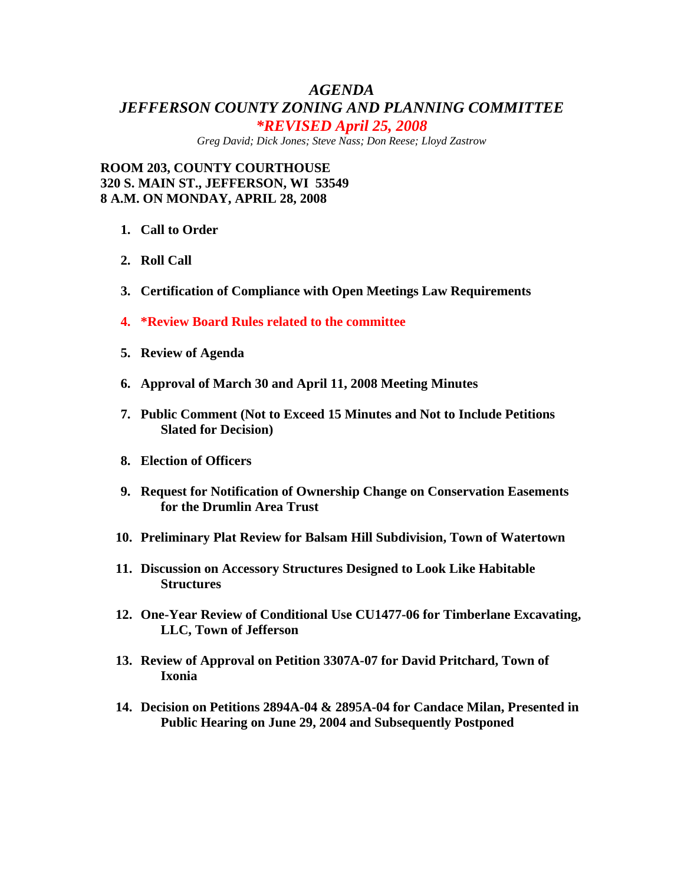## *AGENDA JEFFERSON COUNTY ZONING AND PLANNING COMMITTEE \*REVISED April 25, 2008*

*Greg David; Dick Jones; Steve Nass; Don Reese; Lloyd Zastrow* 

**ROOM 203, COUNTY COURTHOUSE 320 S. MAIN ST., JEFFERSON, WI 53549 8 A.M. ON MONDAY, APRIL 28, 2008** 

- **1. Call to Order**
- **2. Roll Call**
- **3. Certification of Compliance with Open Meetings Law Requirements**
- **4. \*Review Board Rules related to the committee**
- **5. Review of Agenda**
- **6. Approval of March 30 and April 11, 2008 Meeting Minutes**
- **7. Public Comment (Not to Exceed 15 Minutes and Not to Include Petitions Slated for Decision)**
- **8. Election of Officers**
- **9. Request for Notification of Ownership Change on Conservation Easements for the Drumlin Area Trust**
- **10. Preliminary Plat Review for Balsam Hill Subdivision, Town of Watertown**
- **11. Discussion on Accessory Structures Designed to Look Like Habitable Structures**
- **12. One-Year Review of Conditional Use CU1477-06 for Timberlane Excavating, LLC, Town of Jefferson**
- **13. Review of Approval on Petition 3307A-07 for David Pritchard, Town of Ixonia**
- **14. Decision on Petitions 2894A-04 & 2895A-04 for Candace Milan, Presented in Public Hearing on June 29, 2004 and Subsequently Postponed**